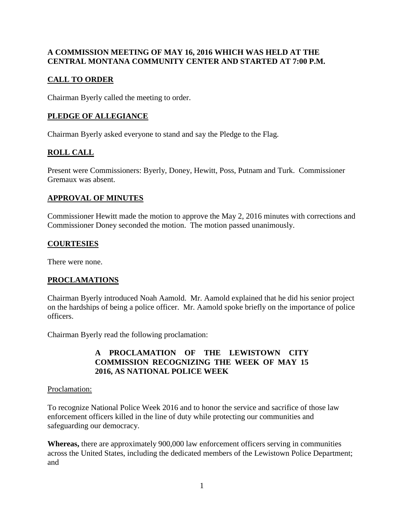### **A COMMISSION MEETING OF MAY 16, 2016 WHICH WAS HELD AT THE CENTRAL MONTANA COMMUNITY CENTER AND STARTED AT 7:00 P.M.**

# **CALL TO ORDER**

Chairman Byerly called the meeting to order.

# **PLEDGE OF ALLEGIANCE**

Chairman Byerly asked everyone to stand and say the Pledge to the Flag.

# **ROLL CALL**

Present were Commissioners: Byerly, Doney, Hewitt, Poss, Putnam and Turk. Commissioner Gremaux was absent.

## **APPROVAL OF MINUTES**

Commissioner Hewitt made the motion to approve the May 2, 2016 minutes with corrections and Commissioner Doney seconded the motion. The motion passed unanimously.

## **COURTESIES**

There were none.

# **PROCLAMATIONS**

Chairman Byerly introduced Noah Aamold. Mr. Aamold explained that he did his senior project on the hardships of being a police officer. Mr. Aamold spoke briefly on the importance of police officers.

Chairman Byerly read the following proclamation:

## **A PROCLAMATION OF THE LEWISTOWN CITY COMMISSION RECOGNIZING THE WEEK OF MAY 15 2016, AS NATIONAL POLICE WEEK**

### Proclamation:

To recognize National Police Week 2016 and to honor the service and sacrifice of those law enforcement officers killed in the line of duty while protecting our communities and safeguarding our democracy.

**Whereas,** there are approximately 900,000 law enforcement officers serving in communities across the United States, including the dedicated members of the Lewistown Police Department; and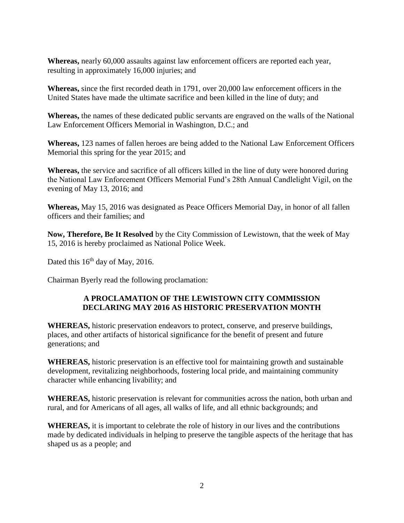**Whereas,** nearly 60,000 assaults against law enforcement officers are reported each year, resulting in approximately 16,000 injuries; and

**Whereas,** since the first recorded death in 1791, over 20,000 law enforcement officers in the United States have made the ultimate sacrifice and been killed in the line of duty; and

**Whereas,** the names of these dedicated public servants are engraved on the walls of the National Law Enforcement Officers Memorial in Washington, D.C.; and

**Whereas,** 123 names of fallen heroes are being added to the National Law Enforcement Officers Memorial this spring for the year 2015; and

**Whereas,** the service and sacrifice of all officers killed in the line of duty were honored during the National Law Enforcement Officers Memorial Fund's 28th Annual Candlelight Vigil, on the evening of May 13, 2016; and

**Whereas,** May 15, 2016 was designated as Peace Officers Memorial Day, in honor of all fallen officers and their families; and

**Now, Therefore, Be It Resolved** by the City Commission of Lewistown, that the week of May 15, 2016 is hereby proclaimed as National Police Week.

Dated this 16<sup>th</sup> day of May, 2016.

Chairman Byerly read the following proclamation:

#### **A PROCLAMATION OF THE LEWISTOWN CITY COMMISSION DECLARING MAY 2016 AS HISTORIC PRESERVATION MONTH**

**WHEREAS,** historic preservation endeavors to protect, conserve, and preserve buildings, places, and other artifacts of historical significance for the benefit of present and future generations; and

**WHEREAS,** historic preservation is an effective tool for maintaining growth and sustainable development, revitalizing neighborhoods, fostering local pride, and maintaining community character while enhancing livability; and

**WHEREAS,** historic preservation is relevant for communities across the nation, both urban and rural, and for Americans of all ages, all walks of life, and all ethnic backgrounds; and

**WHEREAS,** it is important to celebrate the role of history in our lives and the contributions made by dedicated individuals in helping to preserve the tangible aspects of the heritage that has shaped us as a people; and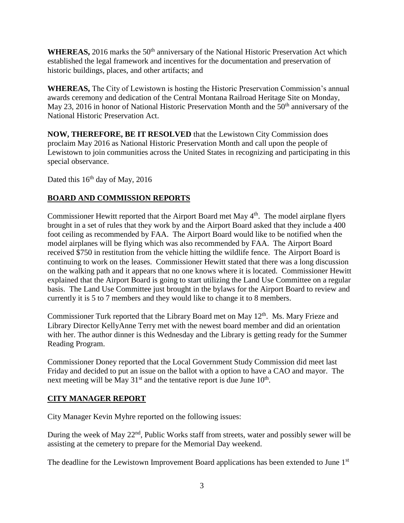**WHEREAS,** 2016 marks the 50<sup>th</sup> anniversary of the National Historic Preservation Act which established the legal framework and incentives for the documentation and preservation of historic buildings, places, and other artifacts; and

**WHEREAS,** The City of Lewistown is hosting the Historic Preservation Commission's annual awards ceremony and dedication of the Central Montana Railroad Heritage Site on Monday, May 23, 2016 in honor of National Historic Preservation Month and the  $50<sup>th</sup>$  anniversary of the National Historic Preservation Act.

**NOW, THEREFORE, BE IT RESOLVED** that the Lewistown City Commission does proclaim May 2016 as National Historic Preservation Month and call upon the people of Lewistown to join communities across the United States in recognizing and participating in this special observance.

Dated this  $16<sup>th</sup>$  day of May, 2016

# **BOARD AND COMMISSION REPORTS**

Commissioner Hewitt reported that the Airport Board met May 4<sup>th</sup>. The model airplane flyers brought in a set of rules that they work by and the Airport Board asked that they include a 400 foot ceiling as recommended by FAA. The Airport Board would like to be notified when the model airplanes will be flying which was also recommended by FAA. The Airport Board received \$750 in restitution from the vehicle hitting the wildlife fence. The Airport Board is continuing to work on the leases. Commissioner Hewitt stated that there was a long discussion on the walking path and it appears that no one knows where it is located. Commissioner Hewitt explained that the Airport Board is going to start utilizing the Land Use Committee on a regular basis. The Land Use Committee just brought in the bylaws for the Airport Board to review and currently it is 5 to 7 members and they would like to change it to 8 members.

Commissioner Turk reported that the Library Board met on May 12<sup>th</sup>. Ms. Mary Frieze and Library Director KellyAnne Terry met with the newest board member and did an orientation with her. The author dinner is this Wednesday and the Library is getting ready for the Summer Reading Program.

Commissioner Doney reported that the Local Government Study Commission did meet last Friday and decided to put an issue on the ballot with a option to have a CAO and mayor. The next meeting will be May  $31<sup>st</sup>$  and the tentative report is due June  $10<sup>th</sup>$ .

### **CITY MANAGER REPORT**

City Manager Kevin Myhre reported on the following issues:

During the week of May 22<sup>nd</sup>, Public Works staff from streets, water and possibly sewer will be assisting at the cemetery to prepare for the Memorial Day weekend.

The deadline for the Lewistown Improvement Board applications has been extended to June 1<sup>st</sup>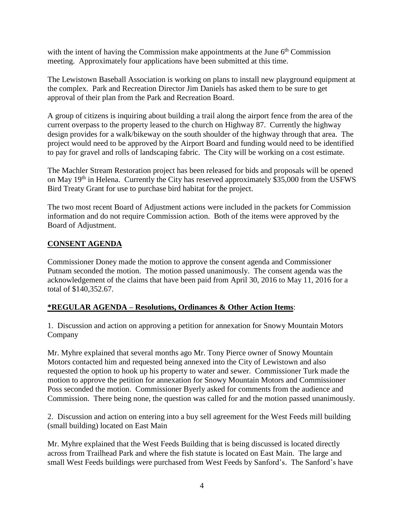with the intent of having the Commission make appointments at the June  $6<sup>th</sup>$  Commission meeting. Approximately four applications have been submitted at this time.

The Lewistown Baseball Association is working on plans to install new playground equipment at the complex. Park and Recreation Director Jim Daniels has asked them to be sure to get approval of their plan from the Park and Recreation Board.

A group of citizens is inquiring about building a trail along the airport fence from the area of the current overpass to the property leased to the church on Highway 87. Currently the highway design provides for a walk/bikeway on the south shoulder of the highway through that area. The project would need to be approved by the Airport Board and funding would need to be identified to pay for gravel and rolls of landscaping fabric. The City will be working on a cost estimate.

The Machler Stream Restoration project has been released for bids and proposals will be opened on May 19<sup>th</sup> in Helena. Currently the City has reserved approximately \$35,000 from the USFWS Bird Treaty Grant for use to purchase bird habitat for the project.

The two most recent Board of Adjustment actions were included in the packets for Commission information and do not require Commission action. Both of the items were approved by the Board of Adjustment.

## **CONSENT AGENDA**

Commissioner Doney made the motion to approve the consent agenda and Commissioner Putnam seconded the motion. The motion passed unanimously. The consent agenda was the acknowledgement of the claims that have been paid from April 30, 2016 to May 11, 2016 for a total of \$140,352.67.

### **\*REGULAR AGENDA – Resolutions, Ordinances & Other Action Items**:

1. Discussion and action on approving a petition for annexation for Snowy Mountain Motors Company

Mr. Myhre explained that several months ago Mr. Tony Pierce owner of Snowy Mountain Motors contacted him and requested being annexed into the City of Lewistown and also requested the option to hook up his property to water and sewer. Commissioner Turk made the motion to approve the petition for annexation for Snowy Mountain Motors and Commissioner Poss seconded the motion. Commissioner Byerly asked for comments from the audience and Commission. There being none, the question was called for and the motion passed unanimously.

2. Discussion and action on entering into a buy sell agreement for the West Feeds mill building (small building) located on East Main

Mr. Myhre explained that the West Feeds Building that is being discussed is located directly across from Trailhead Park and where the fish statute is located on East Main. The large and small West Feeds buildings were purchased from West Feeds by Sanford's. The Sanford's have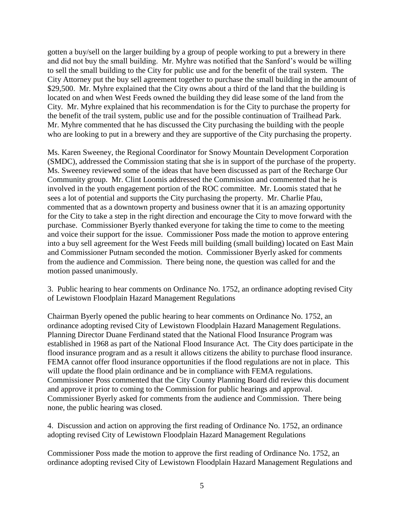gotten a buy/sell on the larger building by a group of people working to put a brewery in there and did not buy the small building. Mr. Myhre was notified that the Sanford's would be willing to sell the small building to the City for public use and for the benefit of the trail system. The City Attorney put the buy sell agreement together to purchase the small building in the amount of \$29,500. Mr. Myhre explained that the City owns about a third of the land that the building is located on and when West Feeds owned the building they did lease some of the land from the City. Mr. Myhre explained that his recommendation is for the City to purchase the property for the benefit of the trail system, public use and for the possible continuation of Trailhead Park. Mr. Myhre commented that he has discussed the City purchasing the building with the people who are looking to put in a brewery and they are supportive of the City purchasing the property.

Ms. Karen Sweeney, the Regional Coordinator for Snowy Mountain Development Corporation (SMDC), addressed the Commission stating that she is in support of the purchase of the property. Ms. Sweeney reviewed some of the ideas that have been discussed as part of the Recharge Our Community group. Mr. Clint Loomis addressed the Commission and commented that he is involved in the youth engagement portion of the ROC committee. Mr. Loomis stated that he sees a lot of potential and supports the City purchasing the property. Mr. Charlie Pfau, commented that as a downtown property and business owner that it is an amazing opportunity for the City to take a step in the right direction and encourage the City to move forward with the purchase. Commissioner Byerly thanked everyone for taking the time to come to the meeting and voice their support for the issue. Commissioner Poss made the motion to approve entering into a buy sell agreement for the West Feeds mill building (small building) located on East Main and Commissioner Putnam seconded the motion. Commissioner Byerly asked for comments from the audience and Commission. There being none, the question was called for and the motion passed unanimously.

3. Public hearing to hear comments on Ordinance No. 1752, an ordinance adopting revised City of Lewistown Floodplain Hazard Management Regulations

Chairman Byerly opened the public hearing to hear comments on Ordinance No. 1752, an ordinance adopting revised City of Lewistown Floodplain Hazard Management Regulations. Planning Director Duane Ferdinand stated that the National Flood Insurance Program was established in 1968 as part of the National Flood Insurance Act. The City does participate in the flood insurance program and as a result it allows citizens the ability to purchase flood insurance. FEMA cannot offer flood insurance opportunities if the flood regulations are not in place. This will update the flood plain ordinance and be in compliance with FEMA regulations. Commissioner Poss commented that the City County Planning Board did review this document and approve it prior to coming to the Commission for public hearings and approval. Commissioner Byerly asked for comments from the audience and Commission. There being none, the public hearing was closed.

4. Discussion and action on approving the first reading of Ordinance No. 1752, an ordinance adopting revised City of Lewistown Floodplain Hazard Management Regulations

Commissioner Poss made the motion to approve the first reading of Ordinance No. 1752, an ordinance adopting revised City of Lewistown Floodplain Hazard Management Regulations and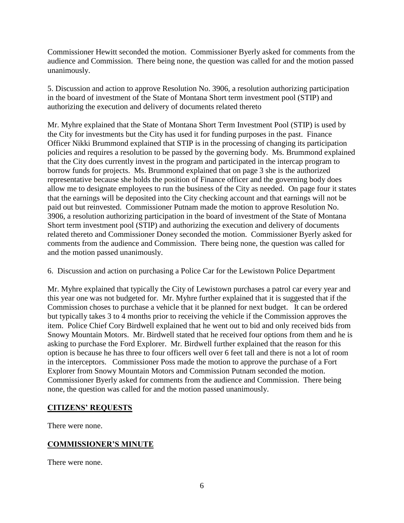Commissioner Hewitt seconded the motion. Commissioner Byerly asked for comments from the audience and Commission. There being none, the question was called for and the motion passed unanimously.

5. Discussion and action to approve Resolution No. 3906, a resolution authorizing participation in the board of investment of the State of Montana Short term investment pool (STIP) and authorizing the execution and delivery of documents related thereto

Mr. Myhre explained that the State of Montana Short Term Investment Pool (STIP) is used by the City for investments but the City has used it for funding purposes in the past. Finance Officer Nikki Brummond explained that STIP is in the processing of changing its participation policies and requires a resolution to be passed by the governing body. Ms. Brummond explained that the City does currently invest in the program and participated in the intercap program to borrow funds for projects. Ms. Brummond explained that on page 3 she is the authorized representative because she holds the position of Finance officer and the governing body does allow me to designate employees to run the business of the City as needed. On page four it states that the earnings will be deposited into the City checking account and that earnings will not be paid out but reinvested. Commissioner Putnam made the motion to approve Resolution No. 3906, a resolution authorizing participation in the board of investment of the State of Montana Short term investment pool (STIP) and authorizing the execution and delivery of documents related thereto and Commissioner Doney seconded the motion. Commissioner Byerly asked for comments from the audience and Commission. There being none, the question was called for and the motion passed unanimously.

### 6. Discussion and action on purchasing a Police Car for the Lewistown Police Department

Mr. Myhre explained that typically the City of Lewistown purchases a patrol car every year and this year one was not budgeted for. Mr. Myhre further explained that it is suggested that if the Commission choses to purchase a vehicle that it be planned for next budget. It can be ordered but typically takes 3 to 4 months prior to receiving the vehicle if the Commission approves the item. Police Chief Cory Birdwell explained that he went out to bid and only received bids from Snowy Mountain Motors. Mr. Birdwell stated that he received four options from them and he is asking to purchase the Ford Explorer. Mr. Birdwell further explained that the reason for this option is because he has three to four officers well over 6 feet tall and there is not a lot of room in the interceptors. Commissioner Poss made the motion to approve the purchase of a Fort Explorer from Snowy Mountain Motors and Commission Putnam seconded the motion. Commissioner Byerly asked for comments from the audience and Commission. There being none, the question was called for and the motion passed unanimously.

### **CITIZENS' REQUESTS**

There were none.

# **COMMISSIONER'S MINUTE**

There were none.